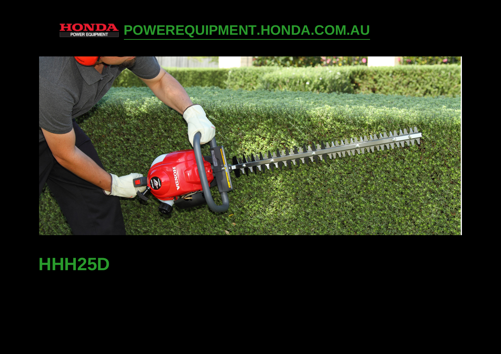

**[POWEREQUIPMENT.HONDA.COM.AU](http://powerequipment.honda.com.au)** 



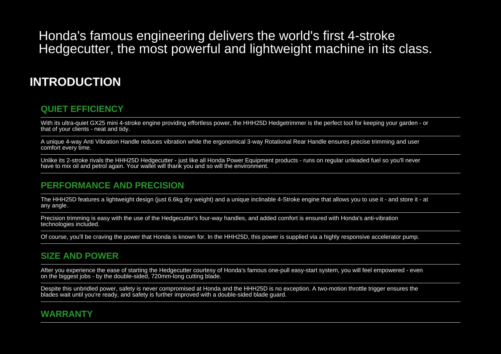Honda's famous engineering delivers the world's first 4-strokeHedgecutter, the most powerful and lightweight machine in its class.

# **INTRODUCTION**

#### **QUIET EFFICIENCY**

With its ultra-quiet GX25 mini 4-stroke engine providing effortless power, the HHH25D Hedgetrimmer is the perfect tool for keeping your garden - orthat of your clients - neat and tidy.

A unique 4-way Anti Vibration Handle reduces vibration while the ergonomical 3-way Rotational Rear Handle ensures precise trimming and usercomfort every time.

Unlike its 2-stroke rivals the HHH25D Hedgecutter - just like all Honda Power Equipment products - runs on regular unleaded fuel so you'll neverhave to mix oil and petrol again. Your wallet will thank you and so will the environment.

## **PERFORMANCE AND PRECISION**

The HHH25D features a lightweight design (just 6.6kg dry weight) and a unique inclinable 4-Stroke engine that allows you to use it - and store it - at any angle.

Precision trimming is easy with the use of the Hedgecutter's four-way handles, and added comfort is ensured with Honda's anti-vibrationtechnologies included.

Of course, you'll be craving the power that Honda is known for. In the HHH25D, this power is supplied via a highly responsive accelerator pump.

## **SIZE AND POWER**

After you experience the ease of starting the Hedgecutter courtesy of Honda's famous one-pull easy-start system, you will feel empowered - evenon the biggest jobs - by the double-sided, 720mm-long cutting blade.

Despite this unbridled power, safety is never compromised at Honda and the HHH25D is no exception. A two-motion throttle trigger ensures theblades wait until you're ready, and safety is further improved with a double-sided blade guard.

# **WARRANTY**